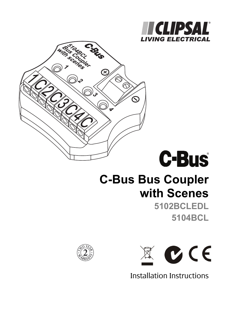





# **C-Bus Bus Coupler with Scenes**

**5102BCLEDL 5104BCL** 





Installation Instructions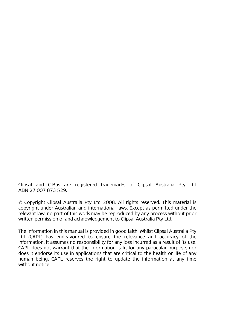Clipsal and C-Bus are registered trademarks of Clipsal Australia Pty Ltd ABN 27 007 873 529.

© Copyright Clipsal Australia Pty Ltd 2008. All rights reserved. This material is copyright under Australian and international laws. Except as permitted under the relevant law, no part of this work may be reproduced by any process without prior written permission of and acknowledgement to Clipsal Australia Pty Ltd.

The information in this manual is provided in good faith. Whilst Clipsal Australia Pty Ltd (CAPL) has endeavoured to ensure the relevance and accuracy of the information, it assumes no responsibility for any loss incurred as a result of its use. CAPL does not warrant that the information is fit for any particular purpose, nor does it endorse its use in applications that are critical to the health or life of any human being. CAPL reserves the right to update the information at any time without notice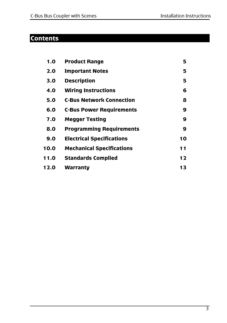# **Contents**

| 1.0  | <b>Product Range</b>             | 5  |
|------|----------------------------------|----|
| 2.0  | <b>Important Notes</b>           | 5  |
| 3.0  | <b>Description</b>               | 5  |
| 4.0  | <b>Wiring Instructions</b>       | 6  |
| 5.0  | <b>C-Bus Network Connection</b>  | 8  |
| 6.0  | <b>C-Bus Power Requirements</b>  | 9  |
| 7.0  | <b>Megger Testing</b>            | 9  |
| 8.0  | <b>Programming Requirements</b>  | 9  |
| 9.0  | <b>Electrical Specifications</b> | 10 |
| 10.0 | <b>Mechanical Specifications</b> | 11 |
| 11.0 | <b>Standards Complied</b>        | 12 |
| 12.0 | Warranty                         | 13 |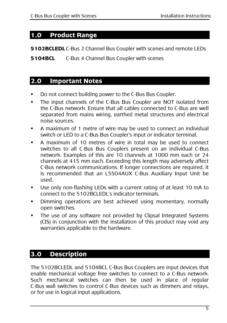#### **1.0 Product Range**

**5102BCLEDL** C-Bus 2 Channel Bus Coupler with scenes and remote LEDs

**5104BCL** C-Bus 4 Channel Bus Coupler with scenes

#### **2.0 Important Notes**

- Do not connect building power to the C-Bus Bus Coupler.
- The input channels of the C-Bus Bus Coupler are NOT isolated from the C-Bus network. Ensure that all cables connected to C-Bus are well separated from mains wiring, earthed metal structures and electrical noise sources.
- A maximum of 1 metre of wire may be used to connect an individual switch or LED to a C-Bus Bus Coupler's input or indicator terminal.
- A maximum of 10 metres of wire in total may be used to connect switches to all C-Bus Bus Couplers present on an individual C-Bus network. Examples of this are 10 channels at 1000 mm each or 24 channels at 415 mm each. Exceeding this length may adversely affect C-Bus network communications. If longer connections are required, it is recommended that an L5504AUX C-Bus Auxiliary Input Unit be used.
- Use only non-flashing LEDs with a current rating of at least 10 mA to connect to the 5102BCLEDL's indicator terminals.
- Dimming operations are best achieved using momentary, normally open switches.
- The use of any software not provided by Clipsal Integrated Systems (CIS) in conjunction with the installation of this product may void any warranties applicable to the hardware.

# **3.0 Description**

The 5102BCLEDL and 5104BCL C-Bus Bus Couplers are input devices that enable mechanical voltage free switches to connect to a C-Bus network. Such mechanical switches can then be used in place of regular C-Bus wall switches to control C-Bus devices such as dimmers and relays, or for use in logical input applications.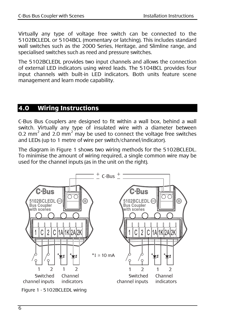Virtually any type of voltage free switch can be connected to the 5102BCLEDL or 5104BCL (momentary or latching). This includes standard wall switches such as the 2000 Series, Heritage, and Slimline range, and specialised switches such as reed and pressure switches.

The 5102BCLEDL provides two input channels and allows the connection of external LED indicators using wired leads. The 5104BCL provides four input channels with built-in LED indicators. Both units feature scene management and learn mode capability.

#### **4.0 Wiring Instructions**

C-Bus Bus Couplers are designed to fit within a wall box, behind a wall switch. Virtually any type of insulated wire with a diameter between 0.2 mm<sup>2</sup> and 2.0 mm<sup>2</sup> may be used to connect the voltage free switches and LEDs (up to 1 metre of wire per switch/channel/indicator).

The diagram in Figure 1 shows two wiring methods for the 5102BCLEDL. To minimise the amount of wiring required, a single common wire may be used for the channel inputs (as in the unit on the right).

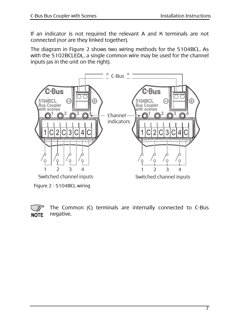If an indicator is not required the relevant A and K terminals are not connected (nor are they linked together).

The diagram in Figure 2 shows two wiring methods for the 5104BCL. As with the 5102BCLEDL, a single common wire may be used for the channel inputs (as in the unit on the right).



Figure 2 - 5104BCL wiring

 The Common (C) terminals are internally connected to C-Bus negative. **NOTE**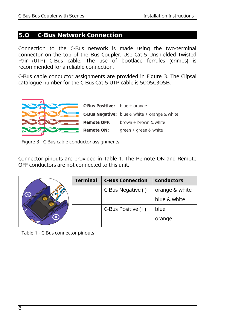#### **5.0 C-Bus Network Connection**

Connection to the C-Bus network is made using the two-terminal connector on the top of the Bus Coupler. Use Cat-5 Unshielded Twisted Pair (UTP) C-Bus cable. The use of bootlace ferrules (crimps) is recommended for a reliable connection.

C-Bus cable conductor assignments are provided in Figure 3. The Clipsal catalogue number for the C-Bus Cat-5 UTP cable is 5005C305B.



Figure 3 - C-Bus cable conductor assignments

Connector pinouts are provided in Table 1. The Remote ON and Remote OFF conductors are not connected to this unit.

|  | <b>Terminal</b> | <b>C-Bus Connection</b> | <b>Conductors</b> |
|--|-----------------|-------------------------|-------------------|
|  |                 | C-Bus Negative (-)      | orange & white    |
|  |                 |                         | blue & white      |
|  |                 | C-Bus Positive $(+)$    | blue              |
|  |                 |                         | orange            |

Table 1 - C-Bus connector pinouts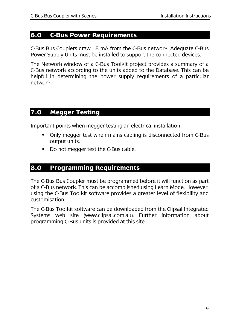#### **6.0 C-Bus Power Requirements**

C-Bus Bus Couplers draw 18 mA from the C-Bus network. Adequate C-Bus Power Supply Units must be installed to support the connected devices.

The Network window of a C-Bus Toolkit project provides a summary of a C-Bus network according to the units added to the Database. This can be helpful in determining the power supply requirements of a particular network.

### **7.0 Megger Testing**

Important points when megger testing an electrical installation:

- Only megger test when mains cabling is disconnected from C-Bus output units.
- Do not megger test the C-Bus cable.

#### **8.0 Programming Requirements**

The C-Bus Bus Coupler must be programmed before it will function as part of a C-Bus network. This can be accomplished using Learn Mode. However, using the C-Bus Toolkit software provides a greater level of flexibility and customisation.

The C-Bus Toolkit software can be downloaded from the Clipsal Integrated Systems web site (www.clipsal.com.au). Further information about programming C-Bus units is provided at this site.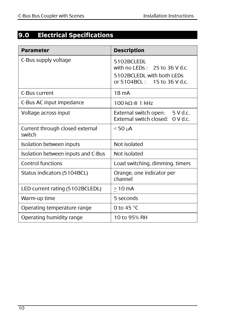# **9.0 Electrical Specifications**

| <b>Parameter</b>                          | <b>Description</b>                                                                                            |
|-------------------------------------------|---------------------------------------------------------------------------------------------------------------|
| C-Bus supply voltage                      | 5102BCLEDL<br>with no LEDs: $25$ to 36 V d.c.<br>5102BCLEDL with both LEDs<br>or 5104BCL :<br>15 to 36 V d.c. |
| C-Bus current                             | 18 mA                                                                                                         |
| C-Bus AC input impedance                  | $100 \text{ k}\Omega \text{ } \text{\&} 1 \text{ kHz}$                                                        |
| Voltage across input                      | External switch open: 5 V d.c.<br>External switch closed: 0 V d.c.                                            |
| Current through closed external<br>switch | $<$ 50 $\mu$ A                                                                                                |
| Isolation between inputs                  | Not isolated                                                                                                  |
| Isolation between inputs and C-Bus        | Not isolated                                                                                                  |
| Control functions                         | Load switching, dimming, timers                                                                               |
| Status indicators (5104BCL)               | Orange, one indicator per<br>channel                                                                          |
| LED current rating (5102BCLEDL)           | $>10$ mA                                                                                                      |
| Warm-up time                              | 5 seconds                                                                                                     |
| Operating temperature range               | 0 to 45 $\degree$ C                                                                                           |
| Operating humidity range                  | 10 to 95% RH                                                                                                  |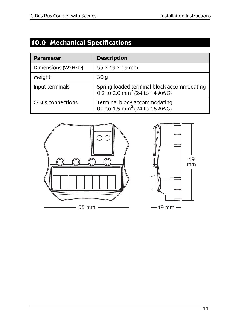# **10.0 Mechanical Specifications**

| <b>Parameter</b>   | <b>Description</b>                                                                      |  |
|--------------------|-----------------------------------------------------------------------------------------|--|
| Dimensions (W×H×D) | $55 \times 49 \times 19$ mm                                                             |  |
| Weight             | 30 g                                                                                    |  |
| Input terminals    | Spring loaded terminal block accommodating<br>0.2 to 2.0 mm <sup>2</sup> (24 to 14 AWG) |  |
| C-Bus connections  | Terminal block accommodating<br>0.2 to 1.5 mm <sup>2</sup> (24 to 16 AWG)               |  |

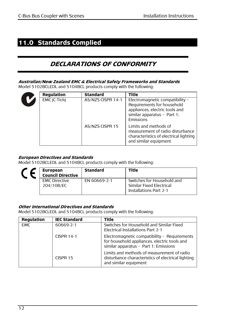# **11.0 Standards Complied**

# **DECLARATIONS OF CONFORMITY**

#### **Australian/New Zealand EMC & Electrical Safety Frameworks and Standards**

Model 5102BCLEDL and 5104BCL products comply with the following:

| <b>Regulation</b> | <b>Standard</b>   | Title                                                                                                                                       |
|-------------------|-------------------|---------------------------------------------------------------------------------------------------------------------------------------------|
| EMC (C-Tick)      | AS/NZS CISPR 14-1 | Electromagnetic compatibility -<br>Requirements for household<br>appliances, electric tools and<br>similar apparatus - Part 1:<br>Emissions |
|                   | AS/NZS CISPR 15   | Limits and methods of<br>measurement of radio disturbance<br>characteristics of electrical lighting<br>and similar equipment                |

#### **European Directives and Standards**

Model 5102BCLEDL and 5104BCL products comply with the following:

| <b>European</b><br><b>Council Directive</b> | <b>Standard</b> | Title                                                                                   |
|---------------------------------------------|-----------------|-----------------------------------------------------------------------------------------|
| <b>EMC Directive</b><br>204/108/EC          | EN 60669-2-1    | Switches for Household and<br>Similar Fixed Electrical<br><b>Installations Part 2-1</b> |

#### **Other International Directives and Standards**

Model 5102BCLEDL and 5104BCL products comply with the following:

| <b>Regulation</b> | <b>IEC Standard</b> | <b>Title</b>                                                                                                                          |
|-------------------|---------------------|---------------------------------------------------------------------------------------------------------------------------------------|
| <b>EMC</b>        | 60669-2-1           | Switches for Household and Similar Fixed<br>Electrical Installations Part 2-1                                                         |
|                   | CISPR 14-1          | Electromagnetic compatibility - Requirements<br>for household appliances, electric tools and<br>similar apparatus - Part 1: Emissions |
|                   | CISPR 15            | Limits and methods of measurement of radio<br>disturbance characteristics of electrical lighting<br>and similar equipment             |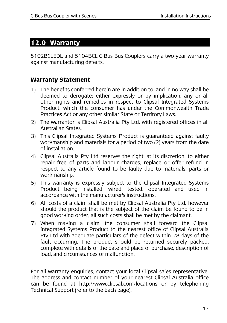#### **12.0 Warranty**

5102BCLEDL and 5104BCL C-Bus Bus Couplers carry a two-year warranty against manufacturing defects.

#### **Warranty Statement**

- 1) The benefits conferred herein are in addition to, and in no way shall be deemed to derogate; either expressly or by implication, any or all other rights and remedies in respect to Clipsal Integrated Systems Product, which the consumer has under the Commonwealth Trade Practices Act or any other similar State or Territory Laws.
- 2) The warrantor is Clipsal Australia Pty Ltd. with registered offices in all Australian States.
- 3) This Clipsal Integrated Systems Product is guaranteed against faulty workmanship and materials for a period of two (2) years from the date of installation.
- 4) Clipsal Australia Pty Ltd reserves the right, at its discretion, to either repair free of parts and labour charges, replace or offer refund in respect to any article found to be faulty due to materials, parts or workmanship.
- 5) This warranty is expressly subject to the Clipsal Integrated Systems Product being installed, wired, tested, operated and used in accordance with the manufacturer's instructions.
- 6) All costs of a claim shall be met by Clipsal Australia Pty Ltd, however should the product that is the subject of the claim be found to be in good working order, all such costs shall be met by the claimant.
- 7) When making a claim, the consumer shall forward the Clipsal Integrated Systems Product to the nearest office of Clipsal Australia Pty Ltd with adequate particulars of the defect within 28 days of the fault occurring. The product should be returned securely packed, complete with details of the date and place of purchase, description of load, and circumstances of malfunction.

For all warranty enquiries, contact your local Clipsal sales representative. The address and contact number of your nearest Clipsal Australia office can be found at http://www.clipsal.com/locations or by telephoning Technical Support (refer to the back page).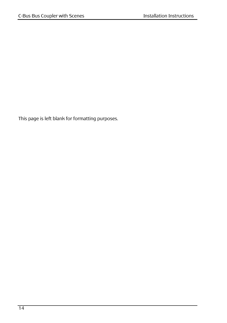This page is left blank for formatting purposes.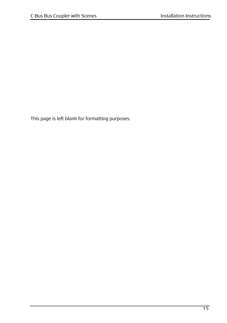This page is left blank for formatting purposes.